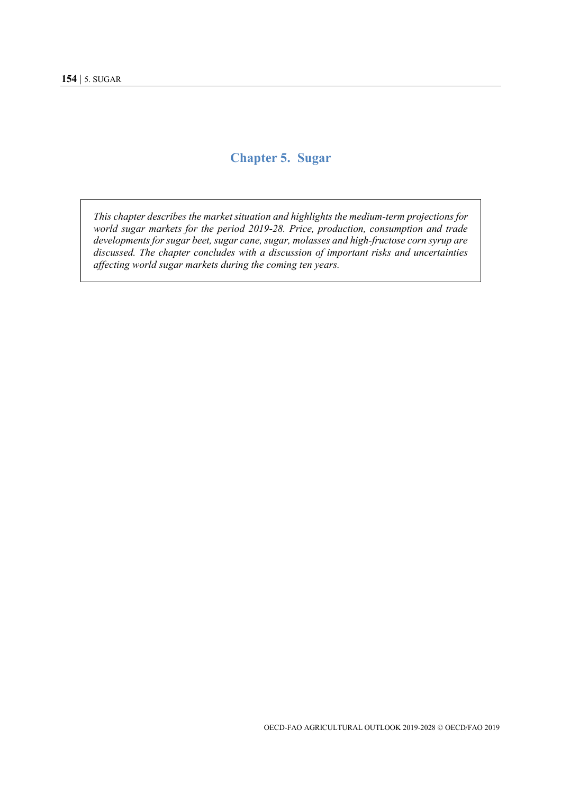# **Chapter 5. Sugar**

*This chapter describes the market situation and highlights the medium-term projections for world sugar markets for the period 2019-28. Price, production, consumption and trade developments for sugar beet, sugar cane, sugar, molasses and high-fructose corn syrup are discussed. The chapter concludes with a discussion of important risks and uncertainties affecting world sugar markets during the coming ten years.*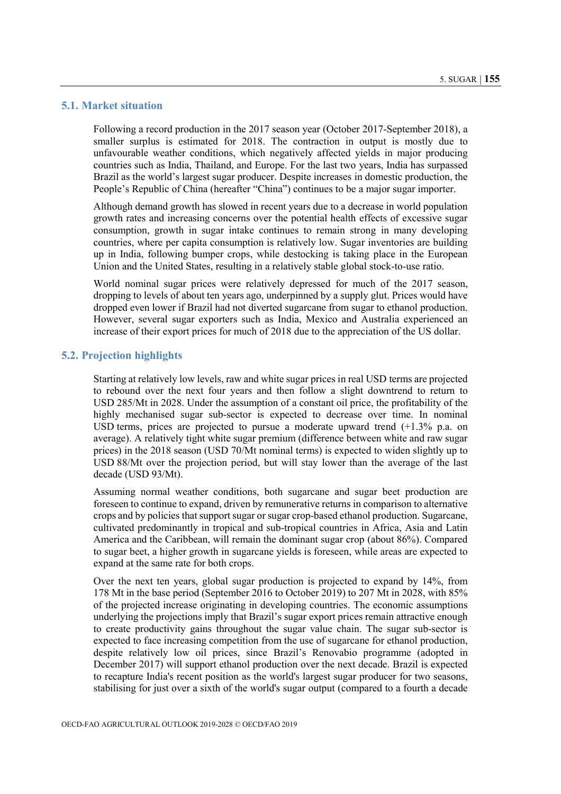### **5.1. Market situation**

Following a record production in the 2017 season year (October 2017-September 2018), a smaller surplus is estimated for 2018. The contraction in output is mostly due to unfavourable weather conditions, which negatively affected yields in major producing countries such as India, Thailand, and Europe. For the last two years, India has surpassed Brazil as the world's largest sugar producer. Despite increases in domestic production, the People's Republic of China (hereafter "China") continues to be a major sugar importer.

Although demand growth has slowed in recent years due to a decrease in world population growth rates and increasing concerns over the potential health effects of excessive sugar consumption, growth in sugar intake continues to remain strong in many developing countries, where per capita consumption is relatively low. Sugar inventories are building up in India, following bumper crops, while destocking is taking place in the European Union and the United States, resulting in a relatively stable global stock-to-use ratio.

World nominal sugar prices were relatively depressed for much of the 2017 season, dropping to levels of about ten years ago, underpinned by a supply glut. Prices would have dropped even lower if Brazil had not diverted sugarcane from sugar to ethanol production. However, several sugar exporters such as India, Mexico and Australia experienced an increase of their export prices for much of 2018 due to the appreciation of the US dollar.

# **5.2. Projection highlights**

Starting at relatively low levels, raw and white sugar prices in real USD terms are projected to rebound over the next four years and then follow a slight downtrend to return to USD 285/Mt in 2028. Under the assumption of a constant oil price, the profitability of the highly mechanised sugar sub-sector is expected to decrease over time. In nominal USD terms, prices are projected to pursue a moderate upward trend (+1.3% p.a. on average). A relatively tight white sugar premium (difference between white and raw sugar prices) in the 2018 season (USD 70/Mt nominal terms) is expected to widen slightly up to USD 88/Mt over the projection period, but will stay lower than the average of the last decade (USD 93/Mt).

Assuming normal weather conditions, both sugarcane and sugar beet production are foreseen to continue to expand, driven by remunerative returns in comparison to alternative crops and by policies that support sugar or sugar crop-based ethanol production. Sugarcane, cultivated predominantly in tropical and sub-tropical countries in Africa, Asia and Latin America and the Caribbean, will remain the dominant sugar crop (about 86%). Compared to sugar beet, a higher growth in sugarcane yields is foreseen, while areas are expected to expand at the same rate for both crops.

Over the next ten years, global sugar production is projected to expand by 14%, from 178 Mt in the base period (September 2016 to October 2019) to 207 Mt in 2028, with 85% of the projected increase originating in developing countries. The economic assumptions underlying the projections imply that Brazil's sugar export prices remain attractive enough to create productivity gains throughout the sugar value chain. The sugar sub-sector is expected to face increasing competition from the use of sugarcane for ethanol production, despite relatively low oil prices, since Brazil's Renovabio programme (adopted in December 2017) will support ethanol production over the next decade. Brazil is expected to recapture India's recent position as the world's largest sugar producer for two seasons, stabilising for just over a sixth of the world's sugar output (compared to a fourth a decade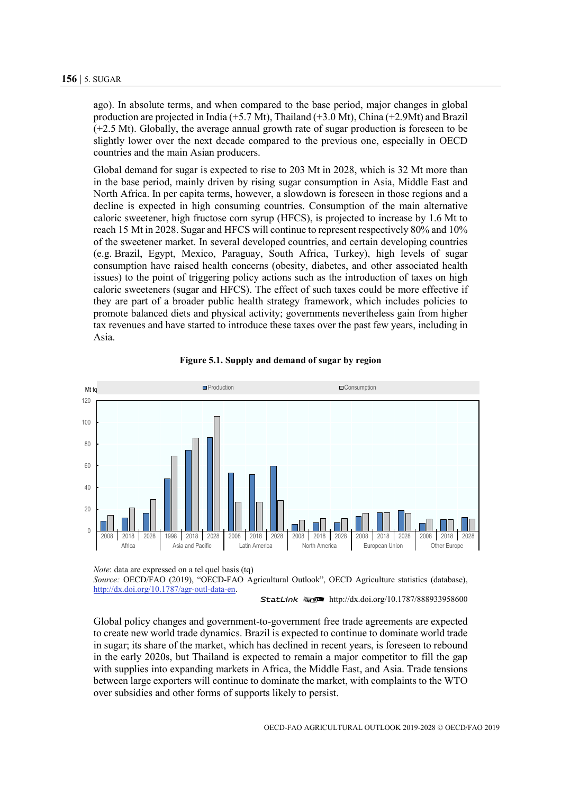ago). In absolute terms, and when compared to the base period, major changes in global production are projected in India (+5.7 Mt), Thailand (+3.0 Mt), China (+2.9Mt) and Brazil (+2.5 Mt). Globally, the average annual growth rate of sugar production is foreseen to be slightly lower over the next decade compared to the previous one, especially in OECD countries and the main Asian producers.

Global demand for sugar is expected to rise to 203 Mt in 2028, which is 32 Mt more than in the base period, mainly driven by rising sugar consumption in Asia, Middle East and North Africa. In per capita terms, however, a slowdown is foreseen in those regions and a decline is expected in high consuming countries. Consumption of the main alternative caloric sweetener, high fructose corn syrup (HFCS), is projected to increase by 1.6 Mt to reach 15 Mt in 2028. Sugar and HFCS will continue to represent respectively 80% and 10% of the sweetener market. In several developed countries, and certain developing countries (e.g. Brazil, Egypt, Mexico, Paraguay, South Africa, Turkey), high levels of sugar consumption have raised health concerns (obesity, diabetes, and other associated health issues) to the point of triggering policy actions such as the introduction of taxes on high caloric sweeteners (sugar and HFCS). The effect of such taxes could be more effective if they are part of a broader public health strategy framework, which includes policies to promote balanced diets and physical activity; governments nevertheless gain from higher tax revenues and have started to introduce these taxes over the past few years, including in Asia.





*Note*: data are expressed on a tel quel basis (tq) *Source:* OECD/FAO (2019), "OECD-FAO Agricultural Outlook", OECD Agriculture statistics (database), http://dx.doi.org/10.1787/agr-outl-data-en.

StatLink  $\frac{2}{10}$  http://dx.doi.org/10.1787/888933958600

Global policy changes and government-to-government free trade agreements are expected to create new world trade dynamics. Brazil is expected to continue to dominate world trade in sugar; its share of the market, which has declined in recent years, is foreseen to rebound in the early 2020s, but Thailand is expected to remain a major competitor to fill the gap with supplies into expanding markets in Africa, the Middle East, and Asia. Trade tensions between large exporters will continue to dominate the market, with complaints to the WTO over subsidies and other forms of supports likely to persist.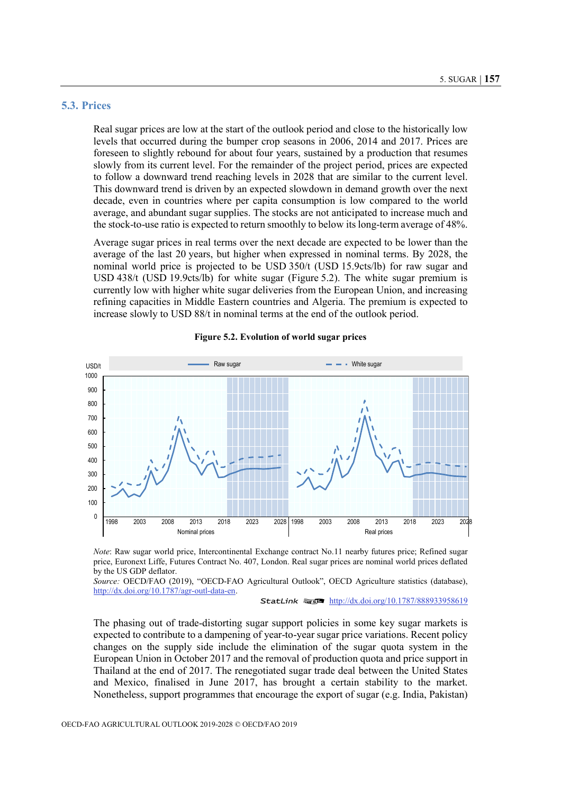### **5.3. Prices**

Real sugar prices are low at the start of the outlook period and close to the historically low levels that occurred during the bumper crop seasons in 2006, 2014 and 2017. Prices are foreseen to slightly rebound for about four years, sustained by a production that resumes slowly from its current level. For the remainder of the project period, prices are expected to follow a downward trend reaching levels in 2028 that are similar to the current level. This downward trend is driven by an expected slowdown in demand growth over the next decade, even in countries where per capita consumption is low compared to the world average, and abundant sugar supplies. The stocks are not anticipated to increase much and the stock-to-use ratio is expected to return smoothly to below its long-term average of 48%.

Average sugar prices in real terms over the next decade are expected to be lower than the average of the last 20 years, but higher when expressed in nominal terms. By 2028, the nominal world price is projected to be USD 350/t (USD 15.9cts/lb) for raw sugar and USD 438/t (USD 19.9cts/lb) for white sugar (Figure 5.2). The white sugar premium is currently low with higher white sugar deliveries from the European Union, and increasing refining capacities in Middle Eastern countries and Algeria. The premium is expected to increase slowly to USD 88/t in nominal terms at the end of the outlook period.



**Figure 5.2. Evolution of world sugar prices** 

*Note*: Raw sugar world price, Intercontinental Exchange contract No.11 nearby futures price; Refined sugar price, Euronext Liffe, Futures Contract No. 407, London. Real sugar prices are nominal world prices deflated by the US GDP deflator.

*Source:* OECD/FAO (2019), "OECD-FAO Agricultural Outlook", OECD Agriculture statistics (database), http://dx.doi.org/10.1787/agr-outl-data-en.

StatLink  $\frac{1 \text{ m/s}}{2 \text{ m/s}}$  http://dx.doi.org/10.1787/888933958619

The phasing out of trade-distorting sugar support policies in some key sugar markets is expected to contribute to a dampening of year-to-year sugar price variations. Recent policy changes on the supply side include the elimination of the sugar quota system in the European Union in October 2017 and the removal of production quota and price support in Thailand at the end of 2017. The renegotiated sugar trade deal between the United States and Mexico, finalised in June 2017, has brought a certain stability to the market. Nonetheless, support programmes that encourage the export of sugar (e.g. India, Pakistan)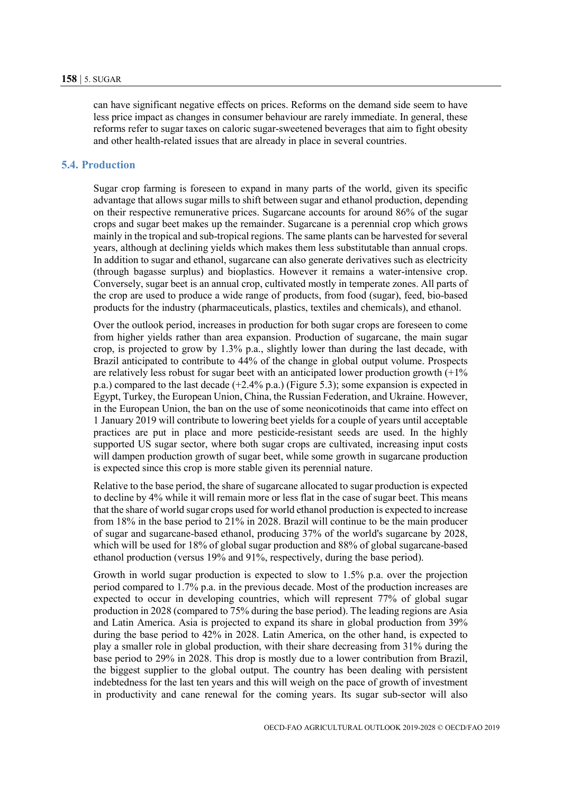can have significant negative effects on prices. Reforms on the demand side seem to have less price impact as changes in consumer behaviour are rarely immediate. In general, these reforms refer to sugar taxes on caloric sugar-sweetened beverages that aim to fight obesity and other health-related issues that are already in place in several countries.

## **5.4. Production**

Sugar crop farming is foreseen to expand in many parts of the world, given its specific advantage that allows sugar mills to shift between sugar and ethanol production, depending on their respective remunerative prices. Sugarcane accounts for around 86% of the sugar crops and sugar beet makes up the remainder. Sugarcane is a perennial crop which grows mainly in the tropical and sub-tropical regions. The same plants can be harvested for several years, although at declining yields which makes them less substitutable than annual crops. In addition to sugar and ethanol, sugarcane can also generate derivatives such as electricity (through bagasse surplus) and bioplastics. However it remains a water-intensive crop. Conversely, sugar beet is an annual crop, cultivated mostly in temperate zones. All parts of the crop are used to produce a wide range of products, from food (sugar), feed, bio-based products for the industry (pharmaceuticals, plastics, textiles and chemicals), and ethanol.

Over the outlook period, increases in production for both sugar crops are foreseen to come from higher yields rather than area expansion. Production of sugarcane, the main sugar crop, is projected to grow by 1.3% p.a., slightly lower than during the last decade, with Brazil anticipated to contribute to 44% of the change in global output volume. Prospects are relatively less robust for sugar beet with an anticipated lower production growth  $(+1%)$ p.a.) compared to the last decade (+2.4% p.a.) (Figure 5.3); some expansion is expected in Egypt, Turkey, the European Union, China, the Russian Federation, and Ukraine. However, in the European Union, the ban on the use of some neonicotinoids that came into effect on 1 January 2019 will contribute to lowering beet yields for a couple of years until acceptable practices are put in place and more pesticide-resistant seeds are used. In the highly supported US sugar sector, where both sugar crops are cultivated, increasing input costs will dampen production growth of sugar beet, while some growth in sugarcane production is expected since this crop is more stable given its perennial nature.

Relative to the base period, the share of sugarcane allocated to sugar production is expected to decline by 4% while it will remain more or less flat in the case of sugar beet. This means that the share of world sugar crops used for world ethanol production is expected to increase from 18% in the base period to 21% in 2028. Brazil will continue to be the main producer of sugar and sugarcane-based ethanol, producing 37% of the world's sugarcane by 2028, which will be used for 18% of global sugar production and 88% of global sugarcane-based ethanol production (versus 19% and 91%, respectively, during the base period).

Growth in world sugar production is expected to slow to 1.5% p.a. over the projection period compared to 1.7% p.a. in the previous decade. Most of the production increases are expected to occur in developing countries, which will represent 77% of global sugar production in 2028 (compared to 75% during the base period). The leading regions are Asia and Latin America. Asia is projected to expand its share in global production from 39% during the base period to 42% in 2028. Latin America, on the other hand, is expected to play a smaller role in global production, with their share decreasing from 31% during the base period to 29% in 2028. This drop is mostly due to a lower contribution from Brazil, the biggest supplier to the global output. The country has been dealing with persistent indebtedness for the last ten years and this will weigh on the pace of growth of investment in productivity and cane renewal for the coming years. Its sugar sub-sector will also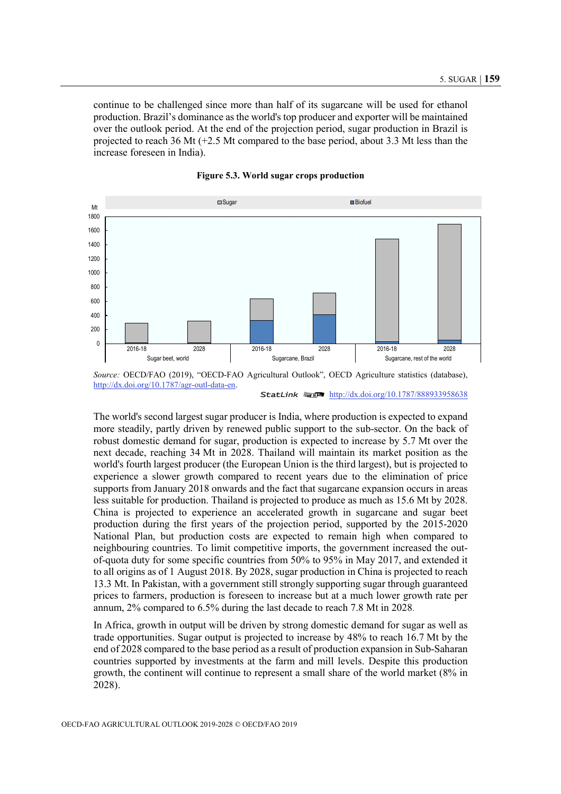continue to be challenged since more than half of its sugarcane will be used for ethanol production. Brazil's dominance as the world's top producer and exporter will be maintained over the outlook period. At the end of the projection period, sugar production in Brazil is projected to reach 36 Mt (+2.5 Mt compared to the base period, about 3.3 Mt less than the increase foreseen in India).



**Figure 5.3. World sugar crops production** 

The world's second largest sugar producer is India, where production is expected to expand more steadily, partly driven by renewed public support to the sub-sector. On the back of robust domestic demand for sugar, production is expected to increase by 5.7 Mt over the next decade, reaching 34 Mt in 2028. Thailand will maintain its market position as the world's fourth largest producer (the European Union is the third largest), but is projected to experience a slower growth compared to recent years due to the elimination of price supports from January 2018 onwards and the fact that sugarcane expansion occurs in areas less suitable for production. Thailand is projected to produce as much as 15.6 Mt by 2028. China is projected to experience an accelerated growth in sugarcane and sugar beet production during the first years of the projection period, supported by the 2015-2020 National Plan, but production costs are expected to remain high when compared to neighbouring countries. To limit competitive imports, the government increased the outof-quota duty for some specific countries from 50% to 95% in May 2017, and extended it to all origins as of 1 August 2018. By 2028, sugar production in China is projected to reach 13.3 Mt. In Pakistan, with a government still strongly supporting sugar through guaranteed prices to farmers, production is foreseen to increase but at a much lower growth rate per annum, 2% compared to 6.5% during the last decade to reach 7.8 Mt in 2028.

In Africa, growth in output will be driven by strong domestic demand for sugar as well as trade opportunities. Sugar output is projected to increase by 48% to reach 16.7 Mt by the end of 2028 compared to the base period as a result of production expansion in Sub-Saharan countries supported by investments at the farm and mill levels. Despite this production growth, the continent will continue to represent a small share of the world market (8% in 2028).

*Source:* OECD/FAO (2019), "OECD-FAO Agricultural Outlook", OECD Agriculture statistics (database), http://dx.doi.org/10.1787/agr-outl-data-en.

StatLink  $\sqrt{10}$  http://dx.doi.org/10.1787/888933958638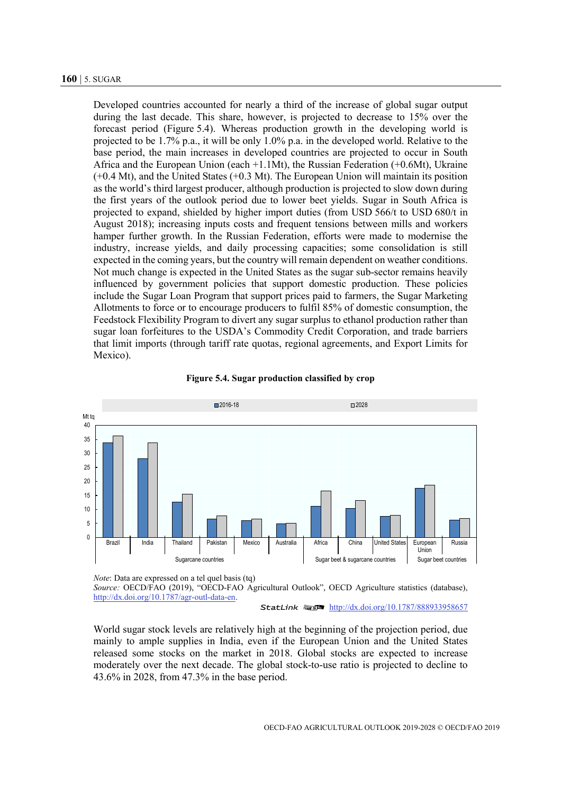Developed countries accounted for nearly a third of the increase of global sugar output during the last decade. This share, however, is projected to decrease to 15% over the forecast period (Figure 5.4). Whereas production growth in the developing world is projected to be 1.7% p.a., it will be only 1.0% p.a. in the developed world. Relative to the base period, the main increases in developed countries are projected to occur in South Africa and the European Union (each +1.1Mt), the Russian Federation (+0.6Mt), Ukraine (+0.4 Mt), and the United States (+0.3 Mt). The European Union will maintain its position as the world's third largest producer, although production is projected to slow down during the first years of the outlook period due to lower beet yields. Sugar in South Africa is projected to expand, shielded by higher import duties (from USD 566/t to USD 680/t in August 2018); increasing inputs costs and frequent tensions between mills and workers hamper further growth. In the Russian Federation, efforts were made to modernise the industry, increase yields, and daily processing capacities; some consolidation is still expected in the coming years, but the country will remain dependent on weather conditions. Not much change is expected in the United States as the sugar sub-sector remains heavily influenced by government policies that support domestic production. These policies include the Sugar Loan Program that support prices paid to farmers, the Sugar Marketing Allotments to force or to encourage producers to fulfil 85% of domestic consumption, the Feedstock Flexibility Program to divert any sugar surplus to ethanol production rather than sugar loan forfeitures to the USDA's Commodity Credit Corporation, and trade barriers that limit imports (through tariff rate quotas, regional agreements, and Export Limits for Mexico).





*Note*: Data are expressed on a tel quel basis (tq) *Source:* OECD/FAO (2019), "OECD-FAO Agricultural Outlook", OECD Agriculture statistics (database), http://dx.doi.org/10.1787/agr-outl-data-en.

StatLink <sub>15</sub> http://dx.doi.org/10.1787/888933958657

World sugar stock levels are relatively high at the beginning of the projection period, due mainly to ample supplies in India, even if the European Union and the United States released some stocks on the market in 2018. Global stocks are expected to increase moderately over the next decade. The global stock-to-use ratio is projected to decline to 43.6% in 2028, from 47.3% in the base period.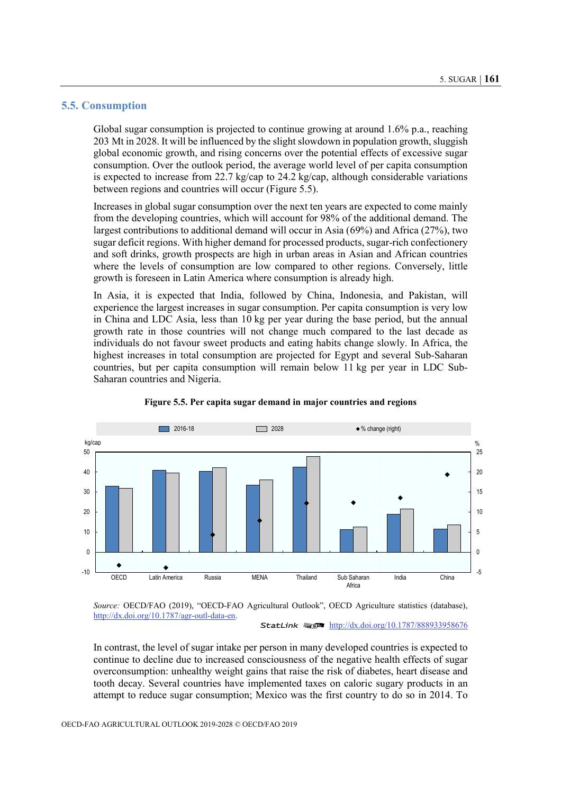### **5.5. Consumption**

Global sugar consumption is projected to continue growing at around 1.6% p.a., reaching 203 Mt in 2028. It will be influenced by the slight slowdown in population growth, sluggish global economic growth, and rising concerns over the potential effects of excessive sugar consumption. Over the outlook period, the average world level of per capita consumption is expected to increase from 22.7 kg/cap to 24.2 kg/cap, although considerable variations between regions and countries will occur (Figure 5.5).

Increases in global sugar consumption over the next ten years are expected to come mainly from the developing countries, which will account for 98% of the additional demand. The largest contributions to additional demand will occur in Asia (69%) and Africa (27%), two sugar deficit regions. With higher demand for processed products, sugar-rich confectionery and soft drinks, growth prospects are high in urban areas in Asian and African countries where the levels of consumption are low compared to other regions. Conversely, little growth is foreseen in Latin America where consumption is already high.

In Asia, it is expected that India, followed by China, Indonesia, and Pakistan, will experience the largest increases in sugar consumption. Per capita consumption is very low in China and LDC Asia, less than 10 kg per year during the base period, but the annual growth rate in those countries will not change much compared to the last decade as individuals do not favour sweet products and eating habits change slowly. In Africa, the highest increases in total consumption are projected for Egypt and several Sub-Saharan countries, but per capita consumption will remain below 11 kg per year in LDC Sub-Saharan countries and Nigeria.



### **Figure 5.5. Per capita sugar demand in major countries and regions**

*Source:* OECD/FAO (2019), "OECD-FAO Agricultural Outlook", OECD Agriculture statistics (database), http://dx.doi.org/10.1787/agr-outl-data-en.

 $StatLink$   $\overline{\text{m}}$  http://dx.doi.org/10.1787/888933958676

In contrast, the level of sugar intake per person in many developed countries is expected to continue to decline due to increased consciousness of the negative health effects of sugar overconsumption: unhealthy weight gains that raise the risk of diabetes, heart disease and tooth decay. Several countries have implemented taxes on caloric sugary products in an attempt to reduce sugar consumption; Mexico was the first country to do so in 2014. To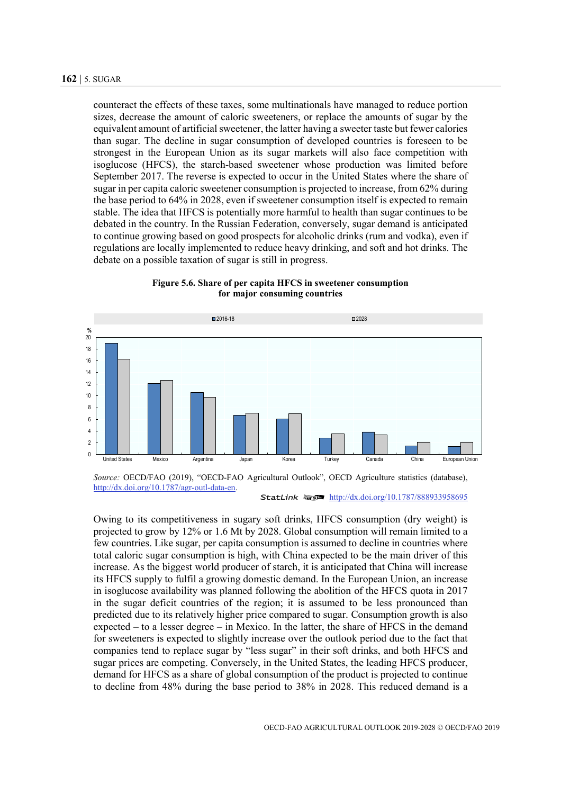counteract the effects of these taxes, some multinationals have managed to reduce portion sizes, decrease the amount of caloric sweeteners, or replace the amounts of sugar by the equivalent amount of artificial sweetener, the latter having a sweeter taste but fewer calories than sugar. The decline in sugar consumption of developed countries is foreseen to be strongest in the European Union as its sugar markets will also face competition with isoglucose (HFCS), the starch-based sweetener whose production was limited before September 2017. The reverse is expected to occur in the United States where the share of sugar in per capita caloric sweetener consumption is projected to increase, from 62% during the base period to 64% in 2028, even if sweetener consumption itself is expected to remain stable. The idea that HFCS is potentially more harmful to health than sugar continues to be debated in the country. In the Russian Federation, conversely, sugar demand is anticipated to continue growing based on good prospects for alcoholic drinks (rum and vodka), even if regulations are locally implemented to reduce heavy drinking, and soft and hot drinks. The debate on a possible taxation of sugar is still in progress.





*Source:* OECD/FAO (2019), "OECD-FAO Agricultural Outlook", OECD Agriculture statistics (database), http://dx.doi.org/10.1787/agr-outl-data-en.

Owing to its competitiveness in sugary soft drinks, HFCS consumption (dry weight) is projected to grow by 12% or 1.6 Mt by 2028. Global consumption will remain limited to a few countries. Like sugar, per capita consumption is assumed to decline in countries where total caloric sugar consumption is high, with China expected to be the main driver of this increase. As the biggest world producer of starch, it is anticipated that China will increase its HFCS supply to fulfil a growing domestic demand. In the European Union, an increase in isoglucose availability was planned following the abolition of the HFCS quota in 2017 in the sugar deficit countries of the region; it is assumed to be less pronounced than predicted due to its relatively higher price compared to sugar. Consumption growth is also expected – to a lesser degree – in Mexico. In the latter, the share of HFCS in the demand for sweeteners is expected to slightly increase over the outlook period due to the fact that companies tend to replace sugar by "less sugar" in their soft drinks, and both HFCS and sugar prices are competing. Conversely, in the United States, the leading HFCS producer, demand for HFCS as a share of global consumption of the product is projected to continue to decline from 48% during the base period to 38% in 2028. This reduced demand is a

StatLink <sub>2</sub> http://dx.doi.org/10.1787/888933958695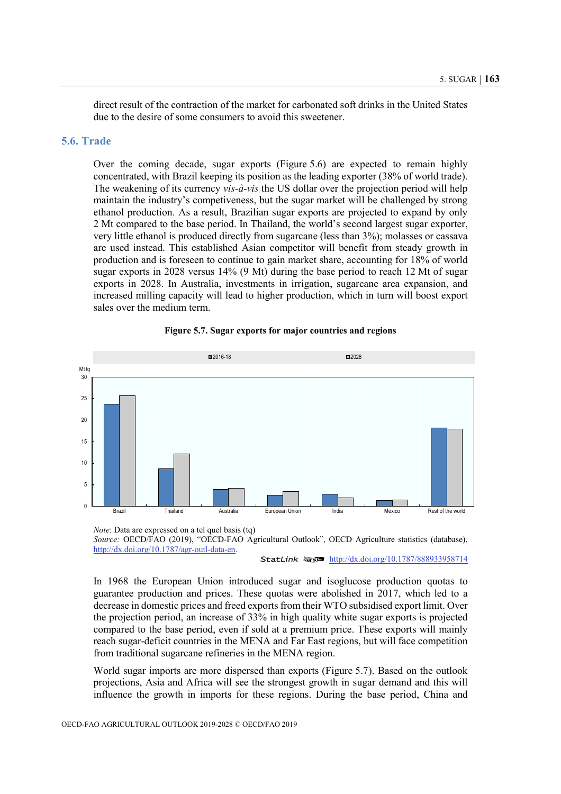direct result of the contraction of the market for carbonated soft drinks in the United States due to the desire of some consumers to avoid this sweetener.

### **5.6. Trade**

Over the coming decade, sugar exports (Figure 5.6) are expected to remain highly concentrated, with Brazil keeping its position as the leading exporter (38% of world trade). The weakening of its currency *vis-à-vis* the US dollar over the projection period will help maintain the industry's competiveness, but the sugar market will be challenged by strong ethanol production. As a result, Brazilian sugar exports are projected to expand by only 2 Mt compared to the base period. In Thailand, the world's second largest sugar exporter, very little ethanol is produced directly from sugarcane (less than 3%); molasses or cassava are used instead. This established Asian competitor will benefit from steady growth in production and is foreseen to continue to gain market share, accounting for 18% of world sugar exports in 2028 versus 14% (9 Mt) during the base period to reach 12 Mt of sugar exports in 2028. In Australia, investments in irrigation, sugarcane area expansion, and increased milling capacity will lead to higher production, which in turn will boost export sales over the medium term.



#### **Figure 5.7. Sugar exports for major countries and regions**

*Note*: Data are expressed on a tel quel basis (tq) *Source:* OECD/FAO (2019), "OECD-FAO Agricultural Outlook", OECD Agriculture statistics (database), http://dx.doi.org/10.1787/agr-outl-data-en.

StatLink <sub>2</sub> http://dx.doi.org/10.1787/888933958714

In 1968 the European Union introduced sugar and isoglucose production quotas to guarantee production and prices. These quotas were abolished in 2017, which led to a decrease in domestic prices and freed exports from their WTO subsidised export limit. Over the projection period, an increase of 33% in high quality white sugar exports is projected compared to the base period, even if sold at a premium price. These exports will mainly reach sugar-deficit countries in the MENA and Far East regions, but will face competition from traditional sugarcane refineries in the MENA region.

World sugar imports are more dispersed than exports (Figure 5.7). Based on the outlook projections, Asia and Africa will see the strongest growth in sugar demand and this will influence the growth in imports for these regions. During the base period, China and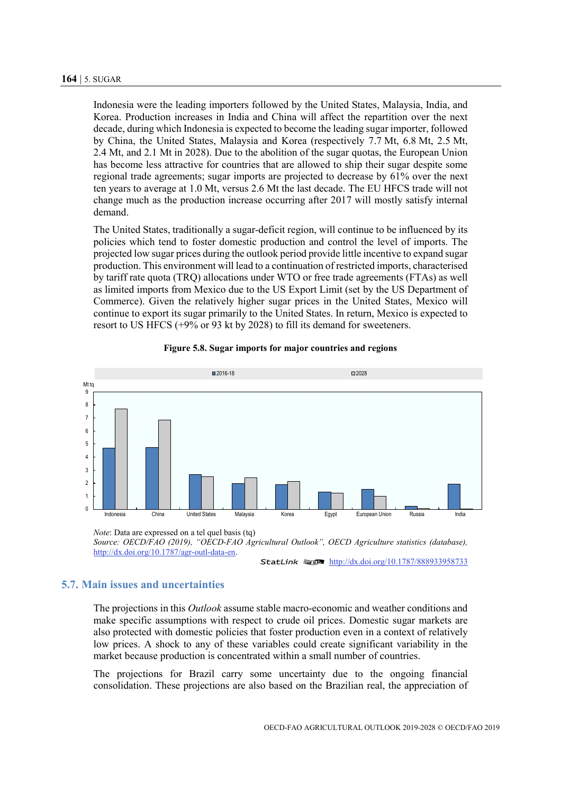Indonesia were the leading importers followed by the United States, Malaysia, India, and Korea. Production increases in India and China will affect the repartition over the next decade, during which Indonesia is expected to become the leading sugar importer, followed by China, the United States, Malaysia and Korea (respectively 7.7 Mt, 6.8 Mt, 2.5 Mt, 2.4 Mt, and 2.1 Mt in 2028). Due to the abolition of the sugar quotas, the European Union has become less attractive for countries that are allowed to ship their sugar despite some regional trade agreements; sugar imports are projected to decrease by 61% over the next ten years to average at 1.0 Mt, versus 2.6 Mt the last decade. The EU HFCS trade will not change much as the production increase occurring after 2017 will mostly satisfy internal demand.

The United States, traditionally a sugar-deficit region, will continue to be influenced by its policies which tend to foster domestic production and control the level of imports. The projected low sugar prices during the outlook period provide little incentive to expand sugar production. This environment will lead to a continuation of restricted imports, characterised by tariff rate quota (TRQ) allocations under WTO or free trade agreements (FTAs) as well as limited imports from Mexico due to the US Export Limit (set by the US Department of Commerce). Given the relatively higher sugar prices in the United States, Mexico will continue to export its sugar primarily to the United States. In return, Mexico is expected to resort to US HFCS (+9% or 93 kt by 2028) to fill its demand for sweeteners.



### **Figure 5.8. Sugar imports for major countries and regions**

*Note*: Data are expressed on a tel quel basis (tq) *Source: OECD/FAO (2019), "OECD-FAO Agricultural Outlook", OECD Agriculture statistics (database),*  http://dx.doi.org/10.1787/agr-outl-data-en.

StatLink 2 http://dx.doi.org/10.1787/888933958733

# **5.7. Main issues and uncertainties**

The projections in this *Outlook* assume stable macro-economic and weather conditions and make specific assumptions with respect to crude oil prices. Domestic sugar markets are also protected with domestic policies that foster production even in a context of relatively low prices. A shock to any of these variables could create significant variability in the market because production is concentrated within a small number of countries.

The projections for Brazil carry some uncertainty due to the ongoing financial consolidation. These projections are also based on the Brazilian real, the appreciation of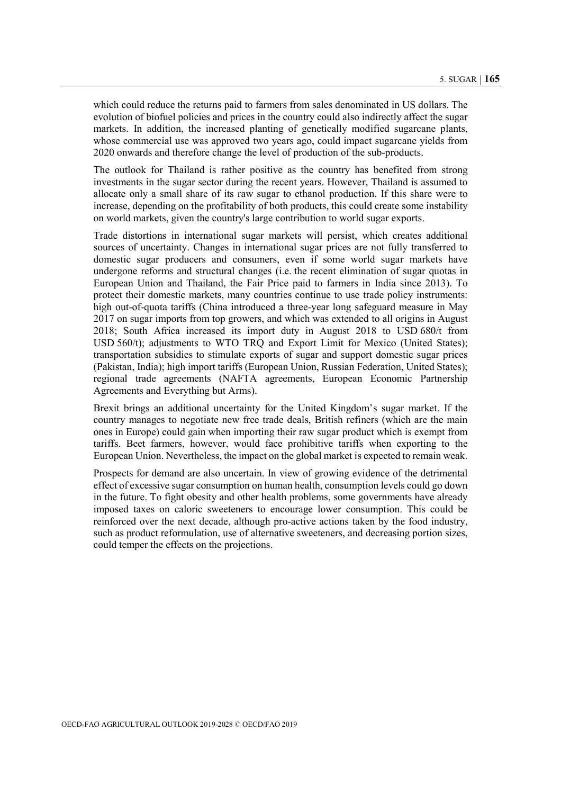which could reduce the returns paid to farmers from sales denominated in US dollars. The evolution of biofuel policies and prices in the country could also indirectly affect the sugar markets. In addition, the increased planting of genetically modified sugarcane plants, whose commercial use was approved two years ago, could impact sugarcane yields from 2020 onwards and therefore change the level of production of the sub-products.

The outlook for Thailand is rather positive as the country has benefited from strong investments in the sugar sector during the recent years. However, Thailand is assumed to allocate only a small share of its raw sugar to ethanol production. If this share were to increase, depending on the profitability of both products, this could create some instability on world markets, given the country's large contribution to world sugar exports.

Trade distortions in international sugar markets will persist, which creates additional sources of uncertainty. Changes in international sugar prices are not fully transferred to domestic sugar producers and consumers, even if some world sugar markets have undergone reforms and structural changes (i.e. the recent elimination of sugar quotas in European Union and Thailand, the Fair Price paid to farmers in India since 2013). To protect their domestic markets, many countries continue to use trade policy instruments: high out-of-quota tariffs (China introduced a three-year long safeguard measure in May 2017 on sugar imports from top growers, and which was extended to all origins in August 2018; South Africa increased its import duty in August 2018 to USD 680/t from USD 560/t); adjustments to WTO TRQ and Export Limit for Mexico (United States); transportation subsidies to stimulate exports of sugar and support domestic sugar prices (Pakistan, India); high import tariffs (European Union, Russian Federation, United States); regional trade agreements (NAFTA agreements, European Economic Partnership Agreements and Everything but Arms).

Brexit brings an additional uncertainty for the United Kingdom's sugar market. If the country manages to negotiate new free trade deals, British refiners (which are the main ones in Europe) could gain when importing their raw sugar product which is exempt from tariffs. Beet farmers, however, would face prohibitive tariffs when exporting to the European Union. Nevertheless, the impact on the global market is expected to remain weak.

Prospects for demand are also uncertain. In view of growing evidence of the detrimental effect of excessive sugar consumption on human health, consumption levels could go down in the future. To fight obesity and other health problems, some governments have already imposed taxes on caloric sweeteners to encourage lower consumption. This could be reinforced over the next decade, although pro-active actions taken by the food industry, such as product reformulation, use of alternative sweeteners, and decreasing portion sizes, could temper the effects on the projections.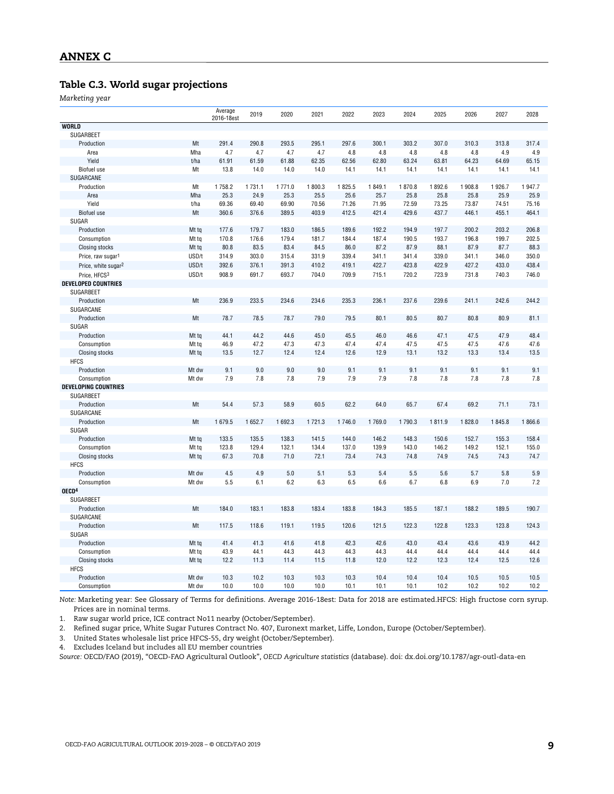### **Table C.3. World sugar projections**

*Marketing year*

|                                          |                | Average<br>2016-18est | 2019    | 2020    | 2021         | 2022   | 2023   | 2024   | 2025   | 2026    | 2027   | 2028   |
|------------------------------------------|----------------|-----------------------|---------|---------|--------------|--------|--------|--------|--------|---------|--------|--------|
| <b>WORLD</b>                             |                |                       |         |         |              |        |        |        |        |         |        |        |
| SUGARBEET                                |                |                       |         |         |              |        |        |        |        |         |        |        |
| Production                               | Mt             | 291.4                 | 290.8   | 293.5   | 295.1        | 297.6  | 300.1  | 303.2  | 307.0  | 310.3   | 313.8  | 317.4  |
| Area                                     | Mha            | 4.7                   | 4.7     | 4.7     | 4.7          | 4.8    | 4.8    | 4.8    | 4.8    | 4.8     | 4.9    | 4.9    |
| Yield                                    | t/ha           | 61.91                 | 61.59   | 61.88   | 62.35        | 62.56  | 62.80  | 63.24  | 63.81  | 64.23   | 64.69  | 65.15  |
| <b>Biofuel use</b>                       | Mt             | 13.8                  | 14.0    | 14.0    | 14.0         | 14.1   | 14.1   | 14.1   | 14.1   | 14.1    | 14.1   | 14.1   |
| SUGARCANE                                |                |                       |         |         |              |        |        |        |        |         |        |        |
| Production                               | Mt             | 1758.2                | 1731.1  | 1771.0  | 1800.3       | 1825.5 | 1849.1 | 1870.8 | 1892.6 | 1 908.8 | 1926.7 | 1947.7 |
| Area                                     | Mha            | 25.3                  | 24.9    | 25.3    | 25.5         | 25.6   | 25.7   | 25.8   | 25.8   | 25.8    | 25.9   | 25.9   |
| Yield                                    | t/ha           | 69.36                 | 69.40   | 69.90   | 70.56        | 71.26  | 71.95  | 72.59  | 73.25  | 73.87   | 74.51  | 75.16  |
| Biofuel use                              | Mt             | 360.6                 | 376.6   | 389.5   | 403.9        | 412.5  | 421.4  | 429.6  | 437.7  | 446.1   | 455.1  | 464.1  |
| SUGAR                                    |                |                       |         |         |              |        |        |        |        |         |        |        |
| Production                               | Mt tq          | 177.6                 | 179.7   | 183.0   | 186.5        | 189.6  | 192.2  | 194.9  | 197.7  | 200.2   | 203.2  | 206.8  |
| Consumption                              | Mt tq          | 170.8                 | 176.6   | 179.4   | 181.7        | 184.4  | 187.4  | 190.5  | 193.7  | 196.8   | 199.7  | 202.5  |
| <b>Closing stocks</b>                    | Mt tq          | 80.8                  | 83.5    | 83.4    | 84.5         | 86.0   | 87.2   | 87.9   | 88.1   | 87.9    | 87.7   | 88.3   |
| Price, raw sugar <sup>1</sup>            | USD/t          | 314.9                 | 303.0   | 315.4   | 331.9        | 339.4  | 341.1  | 341.4  | 339.0  | 341.1   | 346.0  | 350.0  |
| Price, white sugar <sup>2</sup>          | USD/t          | 392.6                 | 376.1   | 391.3   | 410.2        | 419.1  | 422.7  | 423.8  | 422.9  | 427.2   | 433.0  | 438.4  |
| Price, HFCS3                             | USD/t          | 908.9                 | 691.7   | 693.7   | 704.0        | 709.9  | 715.1  | 720.2  | 723.9  | 731.8   | 740.3  | 746.0  |
| <b>DEVELOPED COUNTRIES</b>               |                |                       |         |         |              |        |        |        |        |         |        |        |
| SUGARBEET                                |                |                       |         |         |              |        |        |        |        |         |        |        |
| Production                               | Mt             | 236.9                 | 233.5   | 234.6   | 234.6        | 235.3  | 236.1  | 237.6  | 239.6  | 241.1   | 242.6  | 244.2  |
| SUGARCANE                                |                |                       |         |         |              |        |        |        |        |         |        |        |
| Production                               | Mt             | 78.7                  | 78.5    | 78.7    | 79.0         | 79.5   | 80.1   | 80.5   | 80.7   | 80.8    | 80.9   | 81.1   |
| SUGAR                                    |                |                       |         |         |              |        |        |        |        |         |        |        |
| Production                               | Mt tq          | 44.1                  | 44.2    | 44.6    | 45.0         | 45.5   | 46.0   | 46.6   | 47.1   | 47.5    | 47.9   | 48.4   |
| Consumption                              | Mt tq          | 46.9                  | 47.2    | 47.3    | 47.3         | 47.4   | 47.4   | 47.5   | 47.5   | 47.5    | 47.6   | 47.6   |
| <b>Closing stocks</b>                    | Mt tg          | 13.5                  | 12.7    | 12.4    | 12.4         | 12.6   | 12.9   | 13.1   | 13.2   | 13.3    | 13.4   | 13.5   |
| <b>HFCS</b>                              |                |                       |         |         |              |        |        |        |        |         |        |        |
| Production                               | Mt dw          | 9.1                   | 9.0     | 9.0     | 9.0          | 9.1    | 9.1    | 9.1    | 9.1    | 9.1     | 9.1    | 9.1    |
| Consumption                              | Mt dw          | 7.9                   | 7.8     | 7.8     | 7.9          | 7.9    | 7.9    | 7.8    | 7.8    | 7.8     | 7.8    | 7.8    |
| <b>DEVELOPING COUNTRIES</b><br>SUGARBEET |                |                       |         |         |              |        |        |        |        |         |        |        |
| Production                               | Mt             | 54.4                  | 57.3    | 58.9    | 60.5         | 62.2   | 64.0   | 65.7   | 67.4   | 69.2    | 71.1   | 73.1   |
| SUGARCANE                                |                |                       |         |         |              |        |        |        |        |         |        |        |
| Production                               | Mt             | 1679.5                | 1 652.7 | 1 692.3 | 1721.3       | 1746.0 | 1769.0 | 1790.3 | 1811.9 | 1828.0  | 1845.8 | 1866.6 |
| SUGAR                                    |                |                       |         |         |              |        |        |        |        |         |        |        |
| Production                               | Mt tq          | 133.5                 | 135.5   | 138.3   | 141.5        | 144.0  | 146.2  | 148.3  | 150.6  | 152.7   | 155.3  | 158.4  |
| Consumption                              | Mt tq          | 123.8                 | 129.4   | 132.1   | 134.4        | 137.0  | 139.9  | 143.0  | 146.2  | 149.2   | 152.1  | 155.0  |
| <b>Closing stocks</b>                    | Mt tg          | 67.3                  | 70.8    | 71.0    | 72.1         | 73.4   | 74.3   | 74.8   | 74.9   | 74.5    | 74.3   | 74.7   |
| <b>HFCS</b>                              |                |                       |         |         |              |        |        |        |        |         |        |        |
| Production                               | Mt dw          | 4.5                   | 4.9     | 5.0     | 5.1          | 5.3    | 5.4    | 5.5    | 5.6    | 5.7     | 5.8    | 5.9    |
| Consumption                              | Mt dw          | 5.5                   | 6.1     | 6.2     | 6.3          | 6.5    | 6.6    | 6.7    | 6.8    | 6.9     | 7.0    | 7.2    |
| OECD <sup>4</sup>                        |                |                       |         |         |              |        |        |        |        |         |        |        |
| SUGARBEET                                |                |                       |         |         |              |        |        |        |        |         |        |        |
| Production                               | Mt             | 184.0                 | 183.1   | 183.8   | 183.4        | 183.8  | 184.3  | 185.5  | 187.1  | 188.2   | 189.5  | 190.7  |
| SUGARCANE                                | Mt             |                       | 118.6   | 119.1   | 119.5        | 120.6  | 121.5  |        | 122.8  | 123.3   |        | 124.3  |
| Production<br>SUGAR                      |                | 117.5                 |         |         |              |        |        | 122.3  |        |         | 123.8  |        |
|                                          |                |                       | 41.3    | 41.6    |              | 42.3   | 42.6   | 43.0   | 43.4   | 43.6    | 43.9   | 44.2   |
| Production<br>Consumption                | Mt tq          | 41.4<br>43.9          | 44.1    | 44.3    | 41.8<br>44.3 | 44.3   | 44.3   | 44.4   | 44.4   | 44.4    | 44.4   | 44.4   |
| <b>Closing stocks</b>                    | Mt tq<br>Mt tq | 12.2                  | 11.3    | 11.4    | 11.5         | 11.8   | 12.0   | 12.2   | 12.3   | 12.4    | 12.5   | 12.6   |
| <b>HFCS</b>                              |                |                       |         |         |              |        |        |        |        |         |        |        |
| Production                               | Mt dw          | 10.3                  | 10.2    | 10.3    | 10.3         | 10.3   | 10.4   | 10.4   | 10.4   | 10.5    | 10.5   | 10.5   |
| Consumption                              | Mt dw          | 10.0                  | 10.0    | 10.0    | 10.0         | 10.1   | 10.1   | 10.1   | 10.2   | 10.2    | 10.2   | 10.2   |
|                                          |                |                       |         |         |              |        |        |        |        |         |        |        |

*Note:* Marketing year: See Glossary of Terms for definitions. Average 2016-18est: Data for 2018 are estimated.HFCS: High fructose corn syrup. Prices are in nominal terms.

1. Raw sugar world price, ICE contract No11 nearby (October/September).

2. Refined sugar price, White Sugar Futures Contract No. 407, Euronext market, Liffe, London, Europe (October/September).

3. United States wholesale list price HFCS-55, dry weight (October/September).

4. Excludes Iceland but includes all EU member countries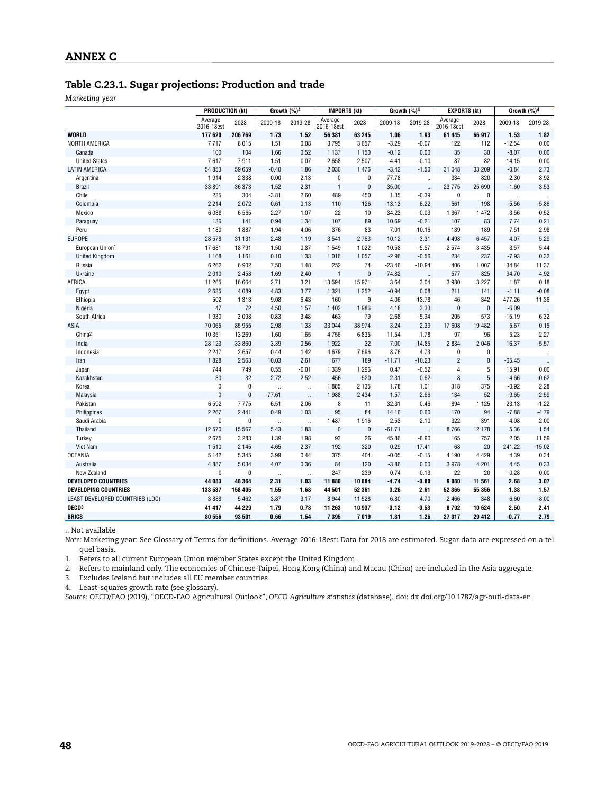# **Table C.23.1. Sugar projections: Production and trade**

*Marketing year*

|                                 | <b>PRODUCTION (kt)</b> |            | Growth (%) <sup>4</sup> |                      | <b>IMPORTS (kt)</b>   |              | Growth (%) <sup>4</sup> |                      | <b>EXPORTS (kt)</b>   |                     | Growth (%)4          |                  |
|---------------------------------|------------------------|------------|-------------------------|----------------------|-----------------------|--------------|-------------------------|----------------------|-----------------------|---------------------|----------------------|------------------|
|                                 | Average<br>2016-18est  | 2028       | 2009-18                 | 2019-28              | Average<br>2016-18est | 2028         | 2009-18                 | 2019-28              | Average<br>2016-18est | 2028                | 2009-18              | 2019-28          |
| <b>WORLD</b>                    | 177 620                | 206 769    | 1.73                    | 1.52                 | 56 381                | 63 245       | 1.06                    | 1.93                 | 61 445                | 66 917              | 1.53                 | 1.82             |
| NORTH AMERICA                   | 7717                   | 8015       | 1.51                    | 0.08                 | 3795                  | 3657         | $-3.29$                 | $-0.07$              | 122                   | 112                 | $-12.54$             | 0.00             |
| Canada                          | 100                    | 104        | 1.66                    | 0.52                 | 1 1 3 7               | 1 1 5 0      | $-0.12$                 | 0.00                 | 35                    | 30                  | $-8.07$              | 0.00             |
| <b>United States</b>            | 7617                   | 7911       | 1.51                    | 0.07                 | 2658                  | 2507         | $-4.41$                 | $-0.10$              | 87                    | 82                  | $-14.15$             | 0.00             |
| <b>LATIN AMERICA</b>            | 54 853                 | 59 659     | $-0.40$                 | 1.86                 | 2 0 3 0               | 1476         | $-3.42$                 | $-1.50$              | 31 048                | 33 209              | $-0.84$              | 2.73             |
| Argentina                       | 1914                   | 2 3 3 8    | 0.00                    | 2.13                 | $\pmb{0}$             | $\mathbf 0$  | $-77.78$                | $\ddotsc$            | 334                   | 820                 | 2.30                 | 8.92             |
| <b>Brazil</b>                   | 33 891                 | 36 373     | $-1.52$                 | 2.31                 | $\mathbf{1}$          | $\mathbf 0$  | 35.00                   | $\ddotsc$            | 23 7 7 5              | 25 690              | $-1.60$              | 3.53             |
| Chile                           | 235                    | 304        | $-3.81$                 | 2.60                 | 489                   | 450          | 1.35                    | $-0.39$              | $\mathbf 0$           | $\mathbf 0$         | $\ddot{\phantom{a}}$ |                  |
| Colombia                        | 2214                   | 2072       | 0.61                    | 0.13                 | 110                   | 126          | $-13.13$                | 6.22                 | 561                   | 198                 | $-5.56$              | $-5.86$          |
| Mexico                          | 6038                   | 6565       | 2.27                    | 1.07                 | 22                    | 10           | $-34.23$                | $-0.03$              | 1 3 6 7               | 1 472               | 3.56                 | 0.52             |
| Paraguay                        | 136                    | 141        | 0.94                    | 1.34                 | 107                   | 89           | 10.69                   | $-0.21$              | 107                   | 83                  | 7.74                 | 0.21             |
| Peru                            | 1 1 8 0                | 1887       | 1.94                    | 4.06                 | 376                   | 83           | 7.01                    | $-10.16$             | 139                   | 189                 | 7.51                 | 2.98             |
| <b>EUROPE</b>                   | 28 578                 | 31 131     | 2.48                    | 1.19                 | 3541                  | 2 7 6 3      | $-10.12$                | $-3.31$              | 4 4 9 8               | 6 4 5 7             | 4.07                 | 5.29             |
| European Union <sup>1</sup>     | 17681                  | 18791      | 1.50                    | 0.87                 | 1549                  | 1 0 2 2      | $-10.58$                | $-5.57$              | 2 5 7 4               | 3 4 3 5             | 3.57                 | 5.44             |
| <b>United Kingdom</b>           | 1 1 6 8                | 1 1 6 1    | 0.10                    | 1.33                 | 1016                  | 1 0 5 7      | $-2.96$                 | $-0.56$              | 234                   | 237                 | $-7.93$              | 0.32             |
| Russia                          | 6 2 6 2                | 6 9 0 2    | 7.50                    | 1.48                 | 252                   | 74           | $-23.46$                | $-10.94$             | 406                   | 1 0 0 7             | 34.84                | 11.37            |
| Ukraine                         | 2010                   | 2 4 5 3    | 1.69                    | 2.40                 | $\mathbf{1}$          | $\pmb{0}$    | $-74.82$                | $\ddot{\phantom{a}}$ | 577                   | 825                 | 94.70                | 4.92             |
| AFRICA                          | 11 265                 | 16 664     | 2.71                    | 3.21                 | 13 5 94               | 15 971       | 3.64                    | 3.04                 | 3 9 8 0               | 3 2 2 7             | 1.87                 | 0.18             |
| Egypt                           | 2635                   | 4 0 8 9    | 4.83                    | 3.77                 | 1 3 2 1               | 1 2 5 2<br>9 | $-0.94$                 | 0.08                 | 211                   | 141                 | $-1.11$              | $-0.08$          |
| Ethiopia<br>Nigeria             | 502<br>47              | 1313<br>72 | 9.08<br>4.50            | 6.43<br>1.57         | 160<br>1 4 0 2        | 1986         | 4.06<br>4.18            | $-13.78$<br>3.33     | 46<br>$\mathbf{0}$    | 342<br>$\mathbf{0}$ | 477.26<br>$-6.09$    | 11.36            |
| South Africa                    | 1930                   | 3098       | $-0.83$                 | 3.48                 | 463                   | 79           | $-2.68$                 | $-5.94$              | 205                   | 573                 | $-15.19$             | 6.32             |
| ASIA                            | 70 065                 | 85 955     | 2.98                    | 1.33                 | 33 044                | 38 974       | 3.24                    | 2.39                 | 17 608                | 19 4 82             | 5.67                 | 0.15             |
| China <sup>2</sup>              | 10 351                 | 13 26 9    | $-1.60$                 | 1.65                 | 4756                  | 6835         | 11.54                   | 1.78                 | 97                    | 96                  | 5.23                 | 2.27             |
| India                           | 28 123                 | 33 860     | 3.39                    | 0.56                 | 1922                  | 32           | 7.00                    | $-14.85$             | 2 8 3 4               | 2 0 46              | 16.37                | $-5.57$          |
| Indonesia                       | 2 2 4 7                | 2 6 5 7    | 0.44                    | 1.42                 | 4679                  | 7696         | 8.76                    | 4.73                 | $\pmb{0}$             | 0                   | $\ddot{\phantom{a}}$ |                  |
| Iran                            | 1828                   | 2563       | 10.03                   | 2.61                 | 677                   | 189          | $-11.71$                | $-10.23$             | $\overline{2}$        | $\mathbf{0}$        | $-65.45$             |                  |
| Japan                           | 744                    | 749        | 0.55                    | $-0.01$              | 1 3 3 9               | 1 2 9 6      | 0.47                    | $-0.52$              | 4                     | 5                   | 15.91                | $\ldots$<br>0.00 |
| Kazakhstan                      | 30                     | 32         | 2.72                    | 2.52                 | 456                   | 520          | 2.31                    | 0.62                 | 8                     | 5                   | $-4.66$              | $-0.62$          |
| Korea                           | $\pmb{0}$              | $\pmb{0}$  |                         | $\ddotsc$            | 1885                  | 2 1 3 5      | 1.78                    | 1.01                 | 318                   | 375                 | $-0.92$              | 2.28             |
| Malaysia                        | $\mathbf{0}$           | $\pmb{0}$  | $-77.61$                |                      | 1988                  | 2 4 3 4      | 1.57                    | 2.66                 | 134                   | 52                  | $-9.65$              | $-2.59$          |
| Pakistan                        | 6592                   | 7775       | 6.51                    | 2.06                 | 8                     | 11           | $-32.31$                | 0.46                 | 894                   | 1 1 2 5             | 23.13                | $-1.22$          |
| Philippines                     | 2 2 6 7                | 2441       | 0.49                    | 1.03                 | 95                    | 84           | 14.16                   | 0.60                 | 170                   | 94                  | $-7.88$              | $-4.79$          |
| Saudi Arabia                    | $\pmb{0}$              | 0          | $\ddot{\phantom{a}}$    | $\ddot{\phantom{a}}$ | 1 4 8 7               | 1916         | 2.53                    | 2.10                 | 322                   | 391                 | 4.08                 | 2.00             |
| Thailand                        | 12 570                 | 15 5 67    | 5.43                    | 1.83                 | $\pmb{0}$             | $\pmb{0}$    | $-61.71$                |                      | 8766                  | 12 178              | 5.36                 | 1.54             |
| Turkey                          | 2675                   | 3 2 8 3    | 1.39                    | 1.98                 | 93                    | 26           | 45.86                   | $-6.90$              | 165                   | 757                 | 2.05                 | 11.59            |
| Viet Nam                        | 1510                   | 2 1 4 5    | 4.65                    | 2.37                 | 192                   | 320          | 0.29                    | 17.41                | 68                    | 20                  | 241.22               | $-15.02$         |
| <b>OCEANIA</b>                  | 5 1 4 2                | 5 3 4 5    | 3.99                    | 0.44                 | 375                   | 404          | $-0.05$                 | $-0.15$              | 4 1 9 0               | 4 4 2 9             | 4.39                 | 0.34             |
| Australia                       | 4887                   | 5 0 3 4    | 4.07                    | 0.36                 | 84                    | 120          | $-3.86$                 | 0.00                 | 3978                  | 4 2 0 1             | 4.45                 | 0.33             |
| New Zealand                     | $\mathbf 0$            | 0          | $\ddotsc$               | $\ddot{\phantom{a}}$ | 247                   | 239          | 0.74                    | $-0.13$              | 22                    | 20                  | $-0.28$              | 0.00             |
| <b>DEVELOPED COUNTRIES</b>      | 44 083                 | 48 364     | 2.31                    | 1.03                 | 11880                 | 10884        | $-4.74$                 | $-0.80$              | 9080                  | 11 561              | 2.68                 | 3.07             |
| <b>DEVELOPING COUNTRIES</b>     | 133 537                | 158 405    | 1.55                    | 1.68                 | 44 501                | 52 361       | 3.26                    | 2.61                 | 52 366                | 55 356              | 1.38                 | 1.57             |
| LEAST DEVELOPED COUNTRIES (LDC) | 3888                   | 5 4 6 2    | 3.87                    | 3.17                 | 8944                  | 11 528       | 6.80                    | 4.70                 | 2 4 6 6               | 348                 | 6.60                 | $-8.00$          |
| OECD <sup>3</sup>               | 41 417                 | 44 229     | 1.79                    | 0.78                 | 11 263                | 10 937       | $-3.12$                 | $-0.53$              | 8792                  | 10 624              | 2.50                 | 2.41             |
| <b>BRICS</b>                    | 80 556                 | 93 501     | 0.66                    | 1.54                 | 7395                  | 7019         | 1.31                    | 1.26                 | 27 317                | 29 4 12             | $-0.77$              | 2.79             |

.. Not available

*Note:* Marketing year: See Glossary of Terms for definitions. Average 2016-18est: Data for 2018 are estimated. Sugar data are expressed on a tel quel basis.

1. Refers to all current European Union member States except the United Kingdom.

2. Refers to mainland only. The economies of Chinese Taipei, Hong Kong (China) and Macau (China) are included in the Asia aggregate.

3. Excludes Iceland but includes all EU member countries

4. Least-squares growth rate (see glossary).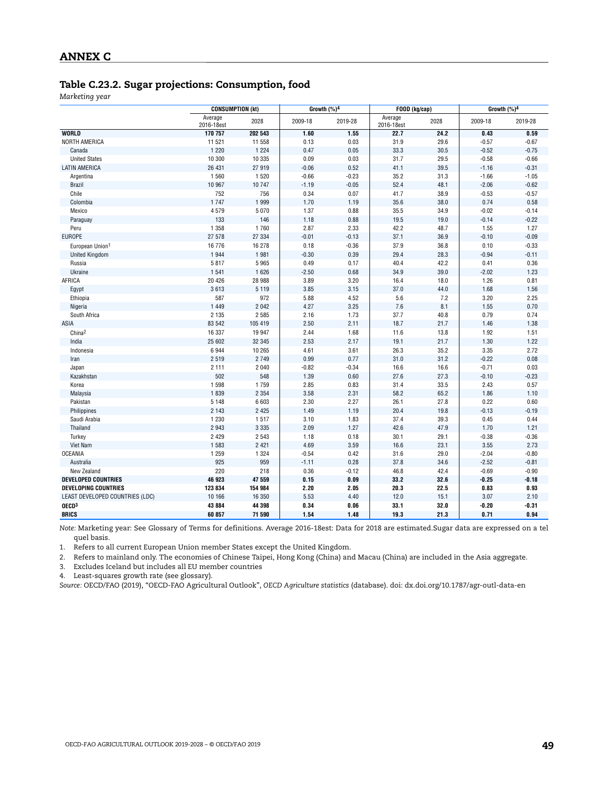# **Table C.23.2. Sugar projections: Consumption, food**

*Marketing year*

|                                 | <b>CONSUMPTION (kt)</b> |         | Growth (%)4 |         | FOOD (kg/cap)         |      | Growth (%)4 |         |  |
|---------------------------------|-------------------------|---------|-------------|---------|-----------------------|------|-------------|---------|--|
|                                 | Average<br>2016-18est   | 2028    | 2009-18     | 2019-28 | Average<br>2016-18est | 2028 | 2009-18     | 2019-28 |  |
| <b>WORLD</b>                    | 170 757                 | 202 543 | 1.60        | 1.55    | 22.7                  | 24.2 | 0.43        | 0.59    |  |
| NORTH AMERICA                   | 11 521                  | 11 558  | 0.13        | 0.03    | 31.9                  | 29.6 | $-0.57$     | $-0.67$ |  |
| Canada                          | 1 2 2 0                 | 1 2 2 4 | 0.47        | 0.05    | 33.3                  | 30.5 | $-0.52$     | $-0.75$ |  |
| <b>United States</b>            | 10 300                  | 10 335  | 0.09        | 0.03    | 31.7                  | 29.5 | $-0.58$     | $-0.66$ |  |
| <b>LATIN AMERICA</b>            | 26 431                  | 27 919  | $-0.06$     | 0.52    | 41.1                  | 39.5 | $-1.16$     | $-0.31$ |  |
| Argentina                       | 1560                    | 1 5 2 0 | $-0.66$     | $-0.23$ | 35.2                  | 31.3 | $-1.66$     | $-1.05$ |  |
| <b>Brazil</b>                   | 10 967                  | 10747   | $-1.19$     | $-0.05$ | 52.4                  | 48.1 | $-2.06$     | $-0.62$ |  |
| Chile                           | 752                     | 756     | 0.34        | 0.07    | 41.7                  | 38.9 | $-0.53$     | $-0.57$ |  |
| Colombia                        | 1747                    | 1999    | 1.70        | 1.19    | 35.6                  | 38.0 | 0.74        | 0.58    |  |
| Mexico                          | 4579                    | 5 0 7 0 | 1.37        | 0.88    | 35.5                  | 34.9 | $-0.02$     | $-0.14$ |  |
| Paraguay                        | 133                     | 146     | 1.18        | 0.88    | 19.5                  | 19.0 | $-0.14$     | $-0.22$ |  |
| Peru                            | 1 3 5 8                 | 1760    | 2.87        | 2.33    | 42.2                  | 48.7 | 1.55        | 1.27    |  |
| <b>EUROPE</b>                   | 27 578                  | 27 334  | $-0.01$     | $-0.13$ | 37.1                  | 36.9 | $-0.10$     | $-0.09$ |  |
| European Union <sup>1</sup>     | 16776                   | 16 278  | 0.18        | $-0.36$ | 37.9                  | 36.8 | 0.10        | $-0.33$ |  |
| <b>United Kingdom</b>           | 1944                    | 1981    | $-0.30$     | 0.39    | 29.4                  | 28.3 | $-0.94$     | $-0.11$ |  |
| Russia                          | 5817                    | 5 9 6 5 | 0.49        | 0.17    | 40.4                  | 42.2 | 0.41        | 0.36    |  |
| Ukraine                         | 1541                    | 1626    | $-2.50$     | 0.68    | 34.9                  | 39.0 | $-2.02$     | 1.23    |  |
| AFRICA                          | 20 4 26                 | 28 988  | 3.89        | 3.20    | 16.4                  | 18.0 | 1.26        | 0.81    |  |
| Egypt                           | 3613                    | 5 1 1 9 | 3.85        | 3.15    | 37.0                  | 44.0 | 1.68        | 1.56    |  |
| Ethiopia                        | 587                     | 972     | 5.88        | 4.52    | 5.6                   | 7.2  | 3.20        | 2.25    |  |
| Nigeria                         | 1 4 4 9                 | 2 0 4 2 | 4.27        | 3.25    | 7.6                   | 8.1  | 1.55        | 0.70    |  |
| South Africa                    | 2 1 3 5                 | 2 5 8 5 | 2.16        | 1.73    | 37.7                  | 40.8 | 0.79        | 0.74    |  |
| ASIA                            | 83 542                  | 105 419 | 2.50        | 2.11    | 18.7                  | 21.7 | 1.46        | 1.38    |  |
| China <sup>2</sup>              | 16 337                  | 19 947  | 2.44        | 1.68    | 11.6                  | 13.8 | 1.92        | 1.51    |  |
| India                           | 25 602                  | 32 345  | 2.53        | 2.17    | 19.1                  | 21.7 | 1.30        | 1.22    |  |
| Indonesia                       | 6944                    | 10 265  | 4.61        | 3.61    | 26.3                  | 35.2 | 3.35        | 2.72    |  |
| Iran                            | 2519                    | 2749    | 0.99        | 0.77    | 31.0                  | 31.2 | $-0.22$     | 0.08    |  |
| Japan                           | 2 1 1 1                 | 2 0 4 0 | $-0.82$     | $-0.34$ | 16.6                  | 16.6 | $-0.71$     | 0.03    |  |
| Kazakhstan                      | 502                     | 548     | 1.39        | 0.60    | 27.6                  | 27.3 | $-0.10$     | $-0.23$ |  |
| Korea                           | 1 5 9 8                 | 1759    | 2.85        | 0.83    | 31.4                  | 33.5 | 2.43        | 0.57    |  |
| Malaysia                        | 1839                    | 2 3 5 4 | 3.58        | 2.31    | 58.2                  | 65.2 | 1.86        | 1.10    |  |
| Pakistan                        | 5 1 4 8                 | 6 6 0 3 | 2.30        | 2.27    | 26.1                  | 27.8 | 0.22        | 0.60    |  |
| Philippines                     | 2 1 4 3                 | 2 4 2 5 | 1.49        | 1.19    | 20.4                  | 19.8 | $-0.13$     | $-0.19$ |  |
| Saudi Arabia                    | 1 2 3 0                 | 1517    | 3.10        | 1.83    | 37.4                  | 39.3 | 0.45        | 0.44    |  |
| Thailand                        | 2 9 4 3                 | 3 3 3 5 | 2.09        | 1.27    | 42.6                  | 47.9 | 1.70        | 1.21    |  |
| Turkey                          | 2 4 2 9                 | 2 5 4 3 | 1.18        | 0.18    | 30.1                  | 29.1 | $-0.38$     | $-0.36$ |  |
| Viet Nam                        | 1583                    | 2 4 2 1 | 4.69        | 3.59    | 16.6                  | 23.1 | 3.55        | 2.73    |  |
| <b>OCEANIA</b>                  | 1 2 5 9                 | 1 3 2 4 | $-0.54$     | 0.42    | 31.6                  | 29.0 | $-2.04$     | $-0.80$ |  |
| Australia                       | 925                     | 959     | $-1.11$     | 0.28    | 37.8                  | 34.6 | $-2.52$     | $-0.81$ |  |
| New Zealand                     | 220                     | 218     | 0.36        | $-0.12$ | 46.8                  | 42.4 | $-0.69$     | $-0.90$ |  |
| <b>DEVELOPED COUNTRIES</b>      | 46 923                  | 47 559  | 0.15        | 0.09    | 33.2                  | 32.6 | $-0.25$     | $-0.18$ |  |
| <b>DEVELOPING COUNTRIES</b>     | 123 834                 | 154 984 | 2.20        | 2.05    | 20.3                  | 22.5 | 0.83        | 0.93    |  |
| LEAST DEVELOPED COUNTRIES (LDC) | 10 166                  | 16 350  | 5.53        | 4.40    | 12.0                  | 15.1 | 3.07        | 2.10    |  |
| OECD <sup>3</sup>               | 43 884                  | 44 398  | 0.34        | 0.06    | 33.1                  | 32.0 | $-0.20$     | $-0.31$ |  |
| <b>BRICS</b>                    | 60 857                  | 71 590  | 1.54        | 1.48    | 19.3                  | 21.3 | 0.71        | 0.94    |  |

*Note:* Marketing year: See Glossary of Terms for definitions. Average 2016-18est: Data for 2018 are estimated.Sugar data are expressed on a tel quel basis.

1. Refers to all current European Union member States except the United Kingdom.

2. Refers to mainland only. The economies of Chinese Taipei, Hong Kong (China) and Macau (China) are included in the Asia aggregate.

3. Excludes Iceland but includes all EU member countries

4. Least-squares growth rate (see glossary).